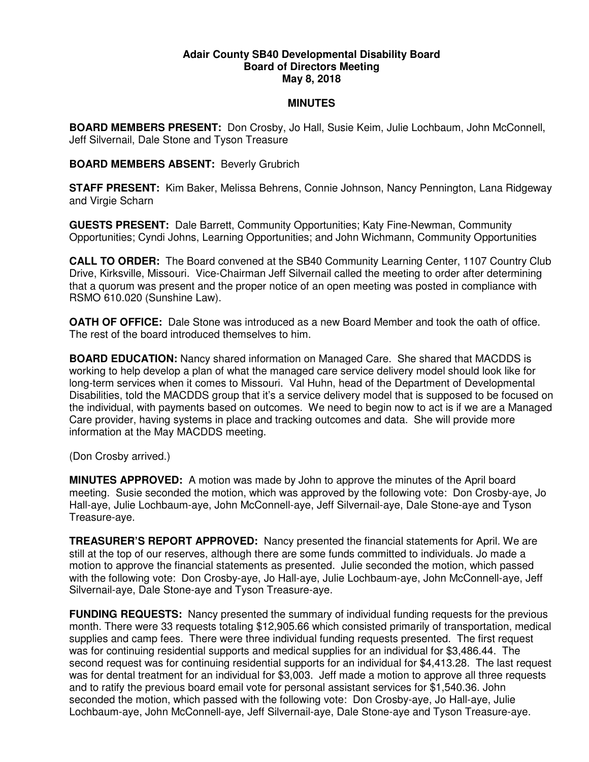## **Adair County SB40 Developmental Disability Board Board of Directors Meeting May 8, 2018**

## **MINUTES**

**BOARD MEMBERS PRESENT:** Don Crosby, Jo Hall, Susie Keim, Julie Lochbaum, John McConnell, Jeff Silvernail, Dale Stone and Tyson Treasure

## **BOARD MEMBERS ABSENT:** Beverly Grubrich

**STAFF PRESENT:** Kim Baker, Melissa Behrens, Connie Johnson, Nancy Pennington, Lana Ridgeway and Virgie Scharn

**GUESTS PRESENT:** Dale Barrett, Community Opportunities; Katy Fine-Newman, Community Opportunities; Cyndi Johns, Learning Opportunities; and John Wichmann, Community Opportunities

**CALL TO ORDER:** The Board convened at the SB40 Community Learning Center, 1107 Country Club Drive, Kirksville, Missouri. Vice-Chairman Jeff Silvernail called the meeting to order after determining that a quorum was present and the proper notice of an open meeting was posted in compliance with RSMO 610.020 (Sunshine Law).

**OATH OF OFFICE:** Dale Stone was introduced as a new Board Member and took the oath of office. The rest of the board introduced themselves to him.

**BOARD EDUCATION:** Nancy shared information on Managed Care. She shared that MACDDS is working to help develop a plan of what the managed care service delivery model should look like for long-term services when it comes to Missouri. Val Huhn, head of the Department of Developmental Disabilities, told the MACDDS group that it's a service delivery model that is supposed to be focused on the individual, with payments based on outcomes. We need to begin now to act is if we are a Managed Care provider, having systems in place and tracking outcomes and data. She will provide more information at the May MACDDS meeting.

(Don Crosby arrived.)

**MINUTES APPROVED:** A motion was made by John to approve the minutes of the April board meeting. Susie seconded the motion, which was approved by the following vote: Don Crosby-aye, Jo Hall-aye, Julie Lochbaum-aye, John McConnell-aye, Jeff Silvernail-aye, Dale Stone-aye and Tyson Treasure-aye.

**TREASURER'S REPORT APPROVED:** Nancy presented the financial statements for April. We are still at the top of our reserves, although there are some funds committed to individuals. Jo made a motion to approve the financial statements as presented. Julie seconded the motion, which passed with the following vote: Don Crosby-aye, Jo Hall-aye, Julie Lochbaum-aye, John McConnell-aye, Jeff Silvernail-aye, Dale Stone-aye and Tyson Treasure-aye.

**FUNDING REQUESTS:** Nancy presented the summary of individual funding requests for the previous month. There were 33 requests totaling \$12,905.66 which consisted primarily of transportation, medical supplies and camp fees. There were three individual funding requests presented. The first request was for continuing residential supports and medical supplies for an individual for \$3,486.44. The second request was for continuing residential supports for an individual for \$4,413.28. The last request was for dental treatment for an individual for \$3,003. Jeff made a motion to approve all three requests and to ratify the previous board email vote for personal assistant services for \$1,540.36. John seconded the motion, which passed with the following vote: Don Crosby-aye, Jo Hall-aye, Julie Lochbaum-aye, John McConnell-aye, Jeff Silvernail-aye, Dale Stone-aye and Tyson Treasure-aye.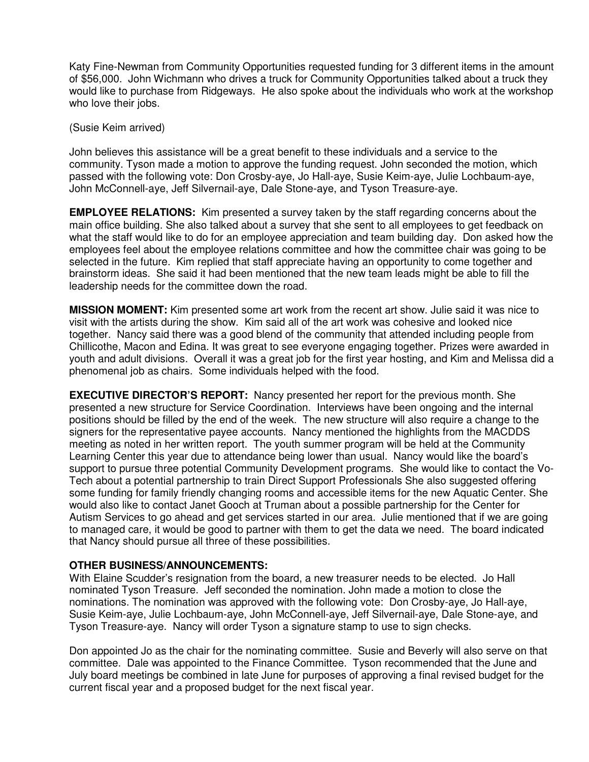Katy Fine-Newman from Community Opportunities requested funding for 3 different items in the amount of \$56,000. John Wichmann who drives a truck for Community Opportunities talked about a truck they would like to purchase from Ridgeways. He also spoke about the individuals who work at the workshop who love their jobs.

(Susie Keim arrived)

John believes this assistance will be a great benefit to these individuals and a service to the community. Tyson made a motion to approve the funding request. John seconded the motion, which passed with the following vote: Don Crosby-aye, Jo Hall-aye, Susie Keim-aye, Julie Lochbaum-aye, John McConnell-aye, Jeff Silvernail-aye, Dale Stone-aye, and Tyson Treasure-aye.

**EMPLOYEE RELATIONS:** Kim presented a survey taken by the staff regarding concerns about the main office building. She also talked about a survey that she sent to all employees to get feedback on what the staff would like to do for an employee appreciation and team building day. Don asked how the employees feel about the employee relations committee and how the committee chair was going to be selected in the future. Kim replied that staff appreciate having an opportunity to come together and brainstorm ideas. She said it had been mentioned that the new team leads might be able to fill the leadership needs for the committee down the road.

**MISSION MOMENT:** Kim presented some art work from the recent art show. Julie said it was nice to visit with the artists during the show. Kim said all of the art work was cohesive and looked nice together. Nancy said there was a good blend of the community that attended including people from Chillicothe, Macon and Edina. It was great to see everyone engaging together. Prizes were awarded in youth and adult divisions. Overall it was a great job for the first year hosting, and Kim and Melissa did a phenomenal job as chairs. Some individuals helped with the food.

**EXECUTIVE DIRECTOR'S REPORT:** Nancy presented her report for the previous month. She presented a new structure for Service Coordination. Interviews have been ongoing and the internal positions should be filled by the end of the week. The new structure will also require a change to the signers for the representative payee accounts. Nancy mentioned the highlights from the MACDDS meeting as noted in her written report. The youth summer program will be held at the Community Learning Center this year due to attendance being lower than usual. Nancy would like the board's support to pursue three potential Community Development programs. She would like to contact the Vo-Tech about a potential partnership to train Direct Support Professionals She also suggested offering some funding for family friendly changing rooms and accessible items for the new Aquatic Center. She would also like to contact Janet Gooch at Truman about a possible partnership for the Center for Autism Services to go ahead and get services started in our area. Julie mentioned that if we are going to managed care, it would be good to partner with them to get the data we need. The board indicated that Nancy should pursue all three of these possibilities.

## **OTHER BUSINESS/ANNOUNCEMENTS:**

With Elaine Scudder's resignation from the board, a new treasurer needs to be elected. Jo Hall nominated Tyson Treasure. Jeff seconded the nomination. John made a motion to close the nominations. The nomination was approved with the following vote: Don Crosby-aye, Jo Hall-aye, Susie Keim-aye, Julie Lochbaum-aye, John McConnell-aye, Jeff Silvernail-aye, Dale Stone-aye, and Tyson Treasure-aye. Nancy will order Tyson a signature stamp to use to sign checks.

Don appointed Jo as the chair for the nominating committee. Susie and Beverly will also serve on that committee. Dale was appointed to the Finance Committee. Tyson recommended that the June and July board meetings be combined in late June for purposes of approving a final revised budget for the current fiscal year and a proposed budget for the next fiscal year.